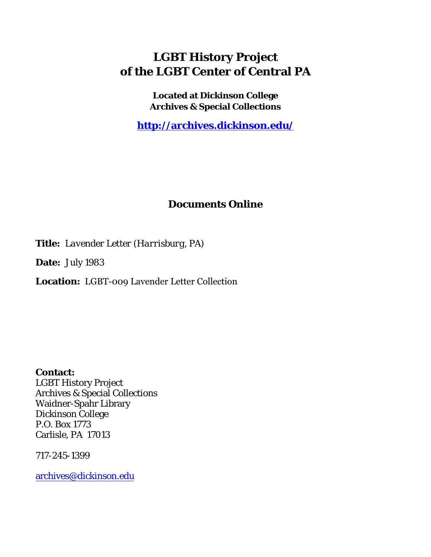## **LGBT History Project of the LGBT Center of Central PA**

**Located at Dickinson College Archives & Special Collections**

**<http://archives.dickinson.edu/>**

## **Documents Online**

**Title:** *Lavender Letter (Harrisburg, PA)*

**Date:** July 1983

**Location:** LGBT-009 Lavender Letter Collection

**Contact:**  LGBT History Project Archives & Special Collections Waidner-Spahr Library Dickinson College P.O. Box 1773 Carlisle, PA 17013

717-245-1399

[archives@dickinson.edu](mailto:archives@dickinson.edu)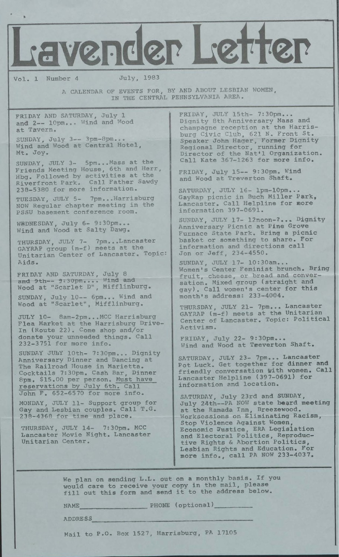\* Lavender Letter Vol. 1 Number <sup>4</sup> July, 1983 A CALENDAR OF EVENTS FOR, BY AND ABOUT LESBIAN WOMEN, IN THE CENTRAL PENNSYLVANIA AREA. FRIDAY AND SATURDAY, July 1 and 2— 10pm... Wind and Wood at Tavern. SUNDAY, July 3— 3pm-8pm... Wind and Wood at Central Hotel, Mt. Joy. SUNDAY, JULY 3- 5pm...Mass at the Friends Meeting House, 6th and Herr, Hbg. Followed by activities at the Riverfront Park. Call Father Sawdy 238-5380 for more information. TUESDAY, JULY 5- 7pm...Harrisburg NOW Regular chapter meeting in the PSSU basement conference room. WEDNESDAY, July 6- 9:30pm... Wind and Wood at Salty Dawg. THURSDAY, JULY 7- 7pm...Lancaster GAYRAP group (m-f) meets at the Unitarian Center of Lancaster. Topic: Aids. FRIDAY AND SATURDAY, July <sup>8</sup> and 9th-- 9:30pm.... Wind and Wood at "Scarlet D", Mifflinburg. SUNDAY, July 10— 6pm... Wind and Wood at "Scarlet", Mifflinburg. JULY 10- 8am-2pm...MCC Harrisburg Flea Market at the Harrisburg Drive-In (Route 22). Come shop and/or donate your unneeded things. Call 232-3751 for more info. SUNDAY JULY 10th- 7:30pm... Dignity Anniversary Dinner and Dancing at The Railroad House in Marietta. Cocktails 7:30pm. Cash Bar, Dinner 8pm. \$15.00 per person. Must have reservations by July 6th. Call John F. 652-6570 for more info. MONDAY, JULY 11- Support group for Gay and Lesbian couples. Call T.G. 238-4368 for time and place. THURSDAY, JULY 14- 7:30pm. MCC Lancaster Movie Night. Lancaster Unitarian Center. FRIDAY, JULY 15th- 7:30pm... Dignity 8th Anniversary Mass and champagne reception at the Harrisburg Civic Club, 621 N. Front St. Speaker John Hager, Former Dignity Regional Director, running for Director of the Nat'l Organization. Call Kate 367-1263 for more info. FRIDAY, July 15— 9:30pm. Wind and Wood at Treverton Shaft. SATURDAY, JULY 16- lpm-lOpm... GayRap picnic in Buch Miller Park, Lancaster. Call Helpline for more information 397-0691. SUNDAY, JULY 17- 12noon-?... Dignity Anniversary Picnic at Pine Grove Furnace State Park. Bring <sup>a</sup> picnic basket or something to share. For information and directions call Jon or Jeff, 234-4550. SUNDAY, JULY 17- 10:30am... Women's Center Feminist brunch. Bring fruit, cheese, or bread and conversation. Mixed group (straight and gay). Call women's center for this month's address: 233-4004. THURSDAY, JULY 21- 7pm... Lancaster GAYRAP (m-f) meets at the Unitarian Center of Lancaster. Topic: Political Activism. FRIDAY, July 22- 9:30pm... Wind and Wood at Teeverton Shaft. SATURDAY, JULY 23- 7pm... Lancaster Pot Luck. Get together for dinner and friendly conversation with women. Call Lancaster Helpline (397—0691) for information and location. SATURDAY, July 23rd and SUNDAY, July 24th—PA NOW state beard meeting at the Ramada Inn, Breezewood. Worksessions on Eliminating Racism, Stop Violence Against Women, Economic Justice, ERA Legislation and Electoral Politics, Reproductive Rights & Abortion Politics, Lesbian Rights and Education. For more info., call PA NOW 233-4037.

> We plan on sending L.L. out on <sup>a</sup> monthly basis. If you would care to receive your copy in the mail, please fill out this form and send it to the address below.

NAME\_\_\_\_\_\_\_\_\_\_\_\_\_\_\_\_\_\_ PHONE (optional)\_\_\_\_\_\_\_\_\_\_\_

ADDRESS

Mail to P.O. Box 1527, Harrisburg, PA 17105